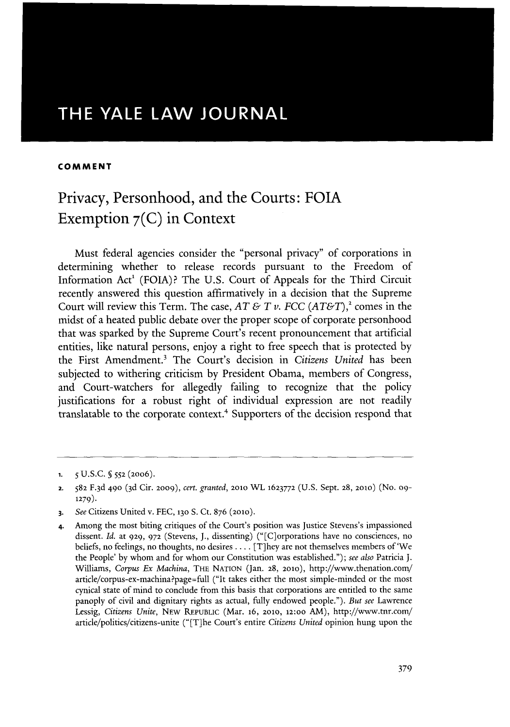# THE YALE LAW **JOURNAL**

### **COMMENT**

# Privacy, Personhood, and the Courts: **FOIA** Exemption **<sup>7</sup> (C)** in Context

Must federal agencies consider the "personal privacy" of corporations in determining whether to release records pursuant to the Freedom of Information Act' **(FOIA)?** The **U.S.** Court of Appeals for the Third Circuit recently answered this question affirmatively in a decision that the Supreme Court will review this Term. The case,  $AT \& T v$ . FCC  $(AT \& T)^2$  comes in the midst of a heated public debate over the proper scope of corporate personhood that was sparked **by** the Supreme Court's recent pronouncement that artificial entities, like natural persons, enjoy a right to free speech that is protected **by** the First Amendment.' The Court's decision in *Citizens United* has been subjected to withering criticism **by** President Obama, members of Congress, and Court-watchers for allegedly failing to recognize that the policy justifications for a robust right of individual expression are not readily translatable to the corporate context.<sup>4</sup> Supporters of the decision respond that

**<sup>1.</sup>** *5* **U.S.C.** 5 **552 (20o6).**

**<sup>2. 582</sup> F.3d 490 (3d** Cir. **2009),** *cert. granted,* **2010** WL **1623772 (U.S.** Sept. **28, 2010)** (No. **09- 1279).**

**<sup>3.</sup>** *See* Citizens United v. **FEC, 130 S.** Ct. **876 (2010).**

**<sup>4.</sup>** Among the most biting critiques of the Court's position was Justice Stevens's impassioned dissent. *Id. at* **929, 972** (Stevens, **J.,** dissenting) ("[C]orporations have no consciences, no beliefs, no feelings, no thoughts, no desires **....** [T]hey are not themselves members of 'We the People' **by** whom and for whom our Constitution was established."); *see also* Patricia **J.** Williams, *Corpus Ex Machina,* THE **NATION** (Jan. **28, 2010),** http://www.thenation.con/ article/corpus-ex-machina?page=full ("It takes either the most simple-minded or the most cynical state of mind to conclude from this basis that corporations are entitled to the same panoply of civil and dignitary rights as actual, fully endowed people."). *But see* Lawrence Lessig, *Citizens Unite,* NEw REPUBLIC (Mar. 16, **2010, 12:oo** AM), http://www.tnr.com/ article/politics/citizens-unite ("[T]he Court's entire *Citizens United* opinion hung upon the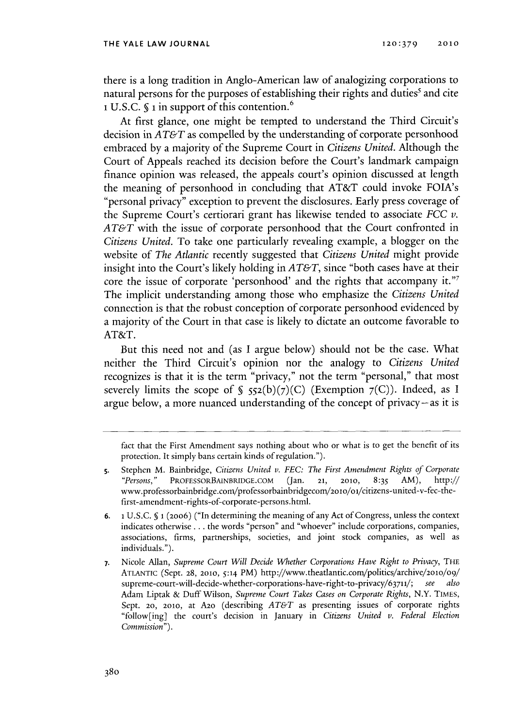there is a long tradition in Anglo-American law of analogizing corporations to natural persons for the purposes of establishing their rights and duties' and cite **1 U.S.C. § 1** in support of this contention.

At first glance, one might be tempted to understand the Third Circuit's decision in *AT&T* as compelled **by** the understanding of corporate personhood embraced **by** a majority of the Supreme Court in *Citizens United.* Although the Court of Appeals reached its decision before the Court's landmark campaign finance opinion was released, the appeals court's opinion discussed at length the meaning of personhood in concluding that AT&T could invoke FOIA's "personal privacy" exception to prevent the disclosures. Early press coverage of the Supreme Court's certiorari grant has likewise tended to associate *FCC v. AT&T* with the issue of corporate personhood that the Court confronted in *Citizens United.* To take one particularly revealing example, a blogger on the website of *The Atlantic* recently suggested that *Citizens United* might provide insight into the Court's likely holding in *AT&T,* since "both cases have at their core the issue of corporate 'personhood' and the rights that accompany **it."** The implicit understanding among those who emphasize the *Citizens United* connection is that the robust conception of corporate personhood evidenced **by** a majority of the Court in that case is likely to dictate an outcome favorable to AT&T.

But this need not and (as **I** argue below) should not be the case. What neither the Third Circuit's opinion nor the analogy to *Citizens United* recognizes is that it is the term "privacy," not the term "personal," that most severely limits the scope of §  $552(b)(7)(C)$  (Exemption  $7(C)$ ). Indeed, as I argue below, a more nuanced understanding of the concept of privacy-as it is

*fact* that the First Amendment says nothing about who or what is to get the benefit of its protection. It simply bans certain kinds of regulation.").

**6. 1 U.S.C. § 1 (20o6)** ("In determining the meaning of any Act of Congress, unless the context indicates otherwise **.** . **.** the words "person" and "whoever" include corporations, companies, associations, firms, partnerships, societies, and joint stock companies, as well as individuals.").

**7.** Nicole Allan, *Supreme Court Will Decide Whether Corporations Have Right to Privacy, THE* **ATLANTIC** (Sept. **28, 2010, 5:14** PM) http://www.theatlantic.com/politics/archive/2oo/o9/ supreme-court-will-decide-whether-corporations-have-right-to-privacy/63711/; *see also* Adam Liptak **&** Duff Wilson, *Supreme Court Takes Cases on Corporate Rights,* N.Y. **TIMES,** Sept. **20, 2010,** at A2o (describing *AT&T* as presenting issues of corporate rights "follow[ing] the court's decision in January in *Citizens United v. Federal Election Commission").*

**<sup>5.</sup>** Stephen M. Bainbridge, *Citizens United v. FEC: The First Amendment Rights of Corporate "Persons,"* **PROFESSORBAINBRIDGE.COM** (Jan. **21, 2010, 8:35** AM), http:// www.professorbainbridge.com/professorbainbridgecom/2o 1o/oi/citizens-united-v-fec-thefirst-amendment-rights-of-corporate-persons.html.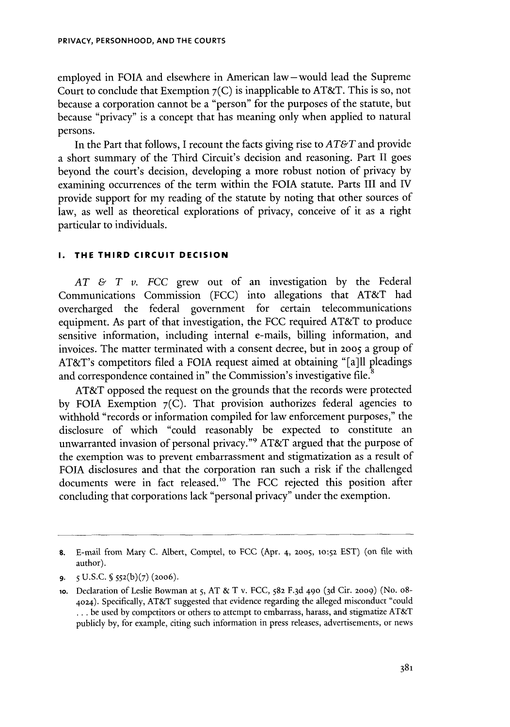employed in **FOIA** and elsewhere in American law-would lead the Supreme Court to conclude that Exemption **7(C)** is inapplicable to AT&T. This is so, not because a corporation cannot be a "person" for the purposes of the statute, but because "privacy" is a concept that has meaning only when applied to natural persons.

In the Part that follows, **I** recount the facts giving rise to *AT&T* and provide a short summary of the Third Circuit's decision and reasoning. Part II goes beyond the court's decision, developing a more robust notion of privacy **by** examining occurrences of the term within the **FOIA** statute. Parts **III** and IV provide support for my reading of the statute **by** noting that other sources of law, as well as theoretical explorations of privacy, conceive of it as a right particular to individuals.

#### **I. THE THIRD CIRCUIT DECISION**

*AT & T v. FCC* grew out of an investigation **by** the Federal Communications Commission **(FCC)** into allegations that AT&T had overcharged the federal government for certain telecommunications equipment. As part of that investigation, the **FCC** required AT&T to produce sensitive information, including internal e-mails, billing information, and invoices. The matter terminated with a consent decree, but in **2005** a group of AT&T's competitors filed a **FOIA** request aimed at obtaining "[a]ll pleadings and correspondence contained in" the Commission's investigative file.<sup>8</sup>

AT&T opposed the request on the grounds that the records were protected **by FOIA** Exemption **7(C).** That provision authorizes federal agencies to withhold "records or information compiled for law enforcement purposes," the disclosure of which "could reasonably be expected to constitute an unwarranted invasion of personal privacy."9 AT&T argued that the purpose of the exemption was to prevent embarrassment and stigmatization as a result of **FOIA** disclosures and that the corporation ran such a risk if the challenged documents were in fact released."o The **FCC** rejected this position after concluding that corporations lack "personal privacy" under the exemption.

**<sup>8.</sup>** E-mail from Mary **C.** Albert, Comptel, to **FCC** (Apr. 4, **2005, 1o:52 EST)** (on file with author).

**<sup>9. 5</sup> U.S.C. § 552(b)(7) (2006).**

**<sup>1</sup>o.** Declaration of Leslie Bowman at **5, AT &** T v. **FCC, 582 F.3d 490 (3d** Cir. **2009)** (No. o8- **4024).** Specifically, AT&T suggested that evidence regarding the alleged misconduct "could **...** be used **by** competitors or others to attempt to embarrass, harass, and stigmatize AT&T publicly **by,** for example, citing such information in press releases, advertisements, or news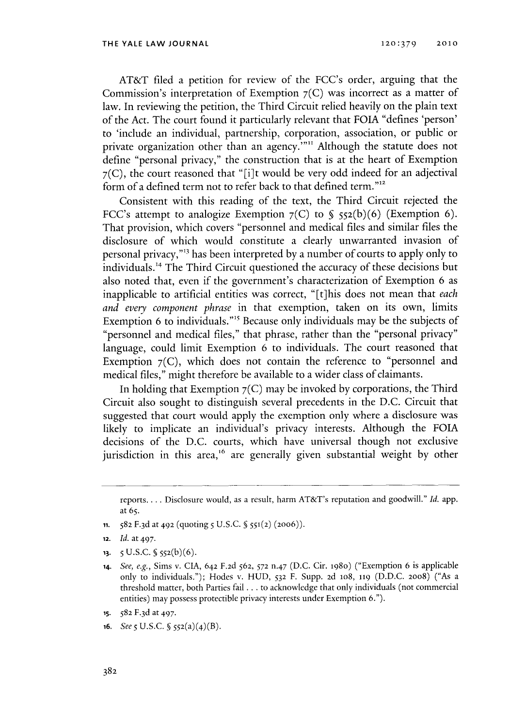AT&T filed a petition for review of the FCC's order, arguing that the Commission's interpretation of Exemption **7(C)** was incorrect as a matter of law. In reviewing the petition, the Third Circuit relied heavily on the plain text of the Act. The court found it particularly relevant that **FOIA** "defines 'person' to 'include an individual, partnership, corporation, association, or public or private organization other than an agency."<sup>11</sup> Although the statute does not define "personal privacy," the construction that is at the heart of Exemption **7(C),** the court reasoned that "[i]t would be very odd indeed for an adjectival form of a defined term not to refer back to that defined term."12

Consistent with this reading of the text, the Third Circuit rejected the FCC's attempt to analogize Exemption **7(C)** to **§ 552(b)(6)** (Exemption **6).** That provision, which covers "personnel and medical files and similar files the disclosure of which would constitute a clearly unwarranted invasion of personal privacy,"" has been interpreted **by** a number of courts to apply only to individuals.14 The Third Circuit questioned the accuracy of these decisions but also noted that, even if the government's characterization of Exemption **6** as inapplicable to artificial entities was correct, "[t]his does not mean that *each and every component phrase* in that exemption, taken on its own, limits Exemption 6 to individuals."<sup>15</sup> Because only individuals may be the subjects of "personnel and medical files," that phrase, rather than the "personal privacy" language, could limit Exemption **6** to individuals. The court reasoned that Exemption  $7$  (C), which does not contain the reference to "personnel and medical files," might therefore be available to a wider class of claimants.

In holding that Exemption **7(C)** may be invoked **by** corporations, the Third Circuit also sought to distinguish several precedents in the **D.C.** Circuit that suggested that court would apply the exemption only where a disclosure was likely to implicate an individual's privacy interests. Although the **FOIA** decisions of the **D.C.** courts, which have universal though not exclusive jurisdiction in this area,<sup>16</sup> are generally given substantial weight by other

- **11. 582 F.3d** at 492 (quoting **5 U.S.C. § 551(2) (2006)).**
- **12.** *Id.* at 497.
- **13. 5 U.S.C. 5 552(b)(6).**
- **14.** *See, e.g.,* Sims v. **CIA,** 642 **F.2d 562,** *572* n.47 **(D.C.** Cir. 1980) ("Exemption **6** is applicable only to individuals."); Hodes v. **HUD, 532** F. **Supp. 2d** 1o8, **119 (D.D.C. 20o8)** ("As a threshold matter, both Parties fail **.** . **.** to acknowledge that only individuals (not commercial entities) may possess protectible privacy interests under Exemption **6.").**
- **15. 582 F.3d** at 497.
- **16.** *See 5* U.S.C. *§*  $552(a)(4)(B)$ .

reports.... Disclosure would, as a result, harm AT&T's reputation and goodwill." *Id.* app. at **65.**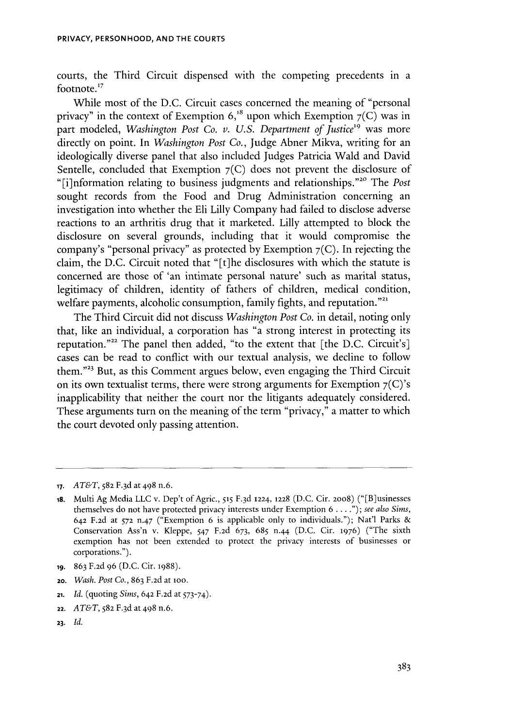courts, the Third Circuit dispensed with the competing precedents in a footnote. **<sup>17</sup>**

While most of the **D.C.** Circuit cases concerned the meaning of "personal privacy" in the context of Exemption  $6$ ,<sup>18</sup> upon which Exemption  $7(C)$  was in part modeled, *Washington Post Co. v. U.S. Department of Justice<sup>19</sup> was more* directly on point. In *Washington Post Co.,* Judge Abner Mikva, writing for an ideologically diverse panel that also included Judges Patricia Wald and David Sentelle, concluded that Exemption **7(C)** does not prevent the disclosure of "[i]nformation relating to business judgments and relationships."<sup>20</sup> The *Post* sought records from the Food and Drug Administration concerning an investigation into whether the **Eli** Lilly Company had failed to disclose adverse reactions to an arthritis drug that it marketed. Lilly attempted to block the disclosure on several grounds, including that it would compromise the company's "personal privacy" as protected **by** Exemption **7(C).** In rejecting the claim, the **D.C.** Circuit noted that "[t]he disclosures with which the statute **is** concerned are those of 'an intimate personal nature' such as marital status, legitimacy of children, identity of fathers of children, medical condition, welfare payments, alcoholic consumption, family fights, and reputation."<sup>21</sup>

The Third Circuit did not discuss *Washington Post Co.* in detail, noting only that, like an individual, a corporation has "a strong interest in protecting its reputation."<sup>22</sup> The panel then added, "to the extent that [the D.C. Circuit's] cases can be read to conflict with our textual analysis, we decline to follow them."<sup>23</sup> But, as this Comment argues below, even engaging the Third Circuit on its own textualist terms, there were strong arguments for Exemption  $7^{\circ}$  (C)'s inapplicability that neither the court nor the litigants adequately considered. These arguments turn on the meaning of the term "privacy," a matter to which the court devoted only passing attention.

- **19. 863 F.2d 96 (D.C.** Cir. **1988).**
- 20. *Wash. Post Co.,* **863 F.2d** at loo.
- **21.** *Id.* (quoting *Sims,* 642 **F.2d** at *573-74).*
- **22.** *AT&T,* **582 F.3d** at 498 n.6.
- **23.** *Id.*

**<sup>17.</sup>** *AT&T,* **582 F.3d** at 498 n.6.

**<sup>18.</sup>** Multi **Ag** Media **LLC v.** Dep't of Agric., 515 **F. 3d 1224, 1228 (D.C.** Cir. 20o8) ("[B]usinesses themselves do not have protected privacy interests under Exemption *6* **. . .** *."); see also Sims,* 642 **F.2d** at **572** n.47 ("Exemption **6** is applicable only to individuals."); Nat'l Parks **&** Conservation Ass'n v. Kleppe, *547* **F.2d 673,** *685* n.44 **(D.C.** Cir. **1976)** ("The sixth exemption has not been extended to protect the privacy interests of businesses or corporations.").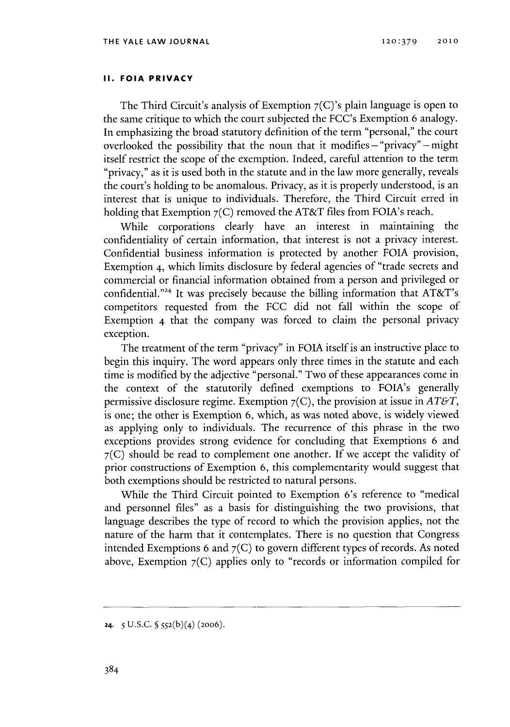## **II. FOIA PRIVACY**

The Third Circuit's analysis of Exemption **7(C)'s** plain language is open to the same critique to which the court subjected the FCC's Exemption **6** analogy. In emphasizing the broad statutory definition of the term "personal," the court overlooked the possibility that the noun that it modifies **-** "privacy" **-** might itself restrict the scope of the exemption. Indeed, careful attention to the term "privacy," as it is used both in the statute and in the law more generally, reveals the court's holding to be anomalous. Privacy, as it is properly understood, is an interest that is unique to individuals. Therefore, the Third Circuit erred in holding that Exemption **7(C)** removed the AT&T files from FOIA's reach.

While corporations clearly have an interest in maintaining the confidentiality of certain information, that interest is not a privacy interest. Confidential business information is protected **by** another **FOIA** provision, Exemption 4, which limits disclosure **by** federal agencies of "trade secrets and commercial or financial information obtained from a person and privileged or confidential."<sup>24</sup> It was precisely because the billing information that AT&T's competitors requested from the **FCC** did not fall within the scope of Exemption 4 that the company was forced to claim the personal privacy exception.

The treatment of the term "privacy" in **FOIA** itself is an instructive place to begin this inquiry. The word appears only three times in the statute and each time is modified **by** the adjective "personal." Two of these appearances come in the context of the statutorily defined exemptions to FOIA's generally permissive disclosure regime. Exemption **7(C),** the provision at issue *in AT&T,* is one; the other is Exemption **6,** which, as was noted above, is widely viewed as applying only to individuals. The recurrence of this phrase in the two exceptions provides strong evidence for concluding that Exemptions **6** and **7(C)** should **be** read to complement one another. **If** we accept the validity of prior constructions of Exemption **6,** this complementarity would suggest that both exemptions should be restricted to natural persons.

While the Third Circuit pointed to Exemption 6's reference to "medical and personnel files" as a basis for distinguishing the two provisions, that language describes the type of record to which the provision applies, not the nature of the harm that it contemplates. There is no question that Congress intended Exemptions **6** and **<sup>7</sup> (C)** to govern different types of records. As noted above, Exemption **7(C)** applies only to "records or information compiled for

**<sup>24-</sup> 5 U.S.C. § 552(b)( <sup>4</sup> ) (2006).**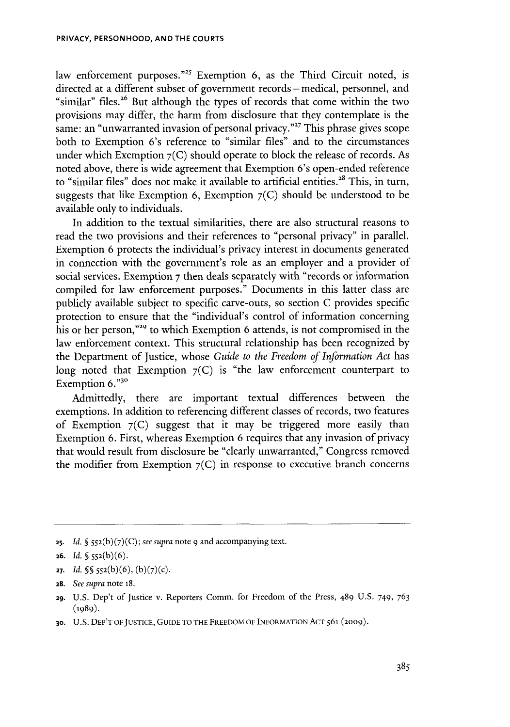law enforcement purposes."<sup>25</sup> Exemption 6, as the Third Circuit noted, is directed at a different subset of government records - medical, personnel, and "similar" files.<sup>26</sup> But although the types of records that come within the two provisions may differ, the harm from disclosure that they contemplate is the same: an "unwarranted invasion of personal privacy."<sup>27</sup> This phrase gives scope both to Exemption 6's reference to "similar files" and to the circumstances under which Exemption **<sup>7</sup> (C)** should operate to block the release of records. As noted above, there is wide agreement that Exemption 6's open-ended reference to "similar files" does not make it available to artificial entities.<sup>28</sup> This, in turn, suggests that like Exemption **6,** Exemption **7(C)** should be understood to be available only to individuals.

In addition to the textual similarities, there are also structural reasons to read the two provisions and their references to "personal privacy" in parallel. Exemption **6** protects the individual's privacy interest in documents generated in connection with the government's role as an employer and a provider of social services. Exemption **7** then deals separately with "records or information compiled for law enforcement purposes." Documents in this latter class are publicly available subject to specific carve-outs, so section **C** provides specific protection to ensure that the "individual's control of information concerning his or her person,"<sup>29</sup> to which Exemption 6 attends, is not compromised in the law enforcement context. This structural relationship has been recognized **by** the Department of Justice, whose *Guide to the Freedom of Information Act* has long noted that Exemption **7(C)** is "the law enforcement counterpart to Exemption **6."3o**

Admittedly, there are important textual differences between the exemptions. In addition to referencing different classes of records, two features of Exemption **7(C)** suggest that it may be triggered more easily than Exemption **6.** First, whereas Exemption **6** requires that any invasion of privacy that would result from disclosure be "clearly unwarranted," Congress removed the modifier from Exemption **7(C)** in response to executive branch concerns

**25.** *Id.* **§ 5 52(b) (7) (C);** *see supra* note **9** and accompanying text.

- **27.** *Id.*  $\{\$ \} 552(b)(6), (b)(7)(c).$
- **28.** *See supra* note **18.**

**30. U.S.** DEP'T OF **JUSTICE,** GUIDE TO THE FREEDOM OF **INFORMATION ACT561** (2009).

**<sup>26.</sup>** *Id.*  $\sqrt{5}$  552(b)(6).

**<sup>29.</sup>** U.S. Dep't of Justice v. Reporters Comm. for Freedom of the Press, 489 U.S. 749, 763 **(1989).**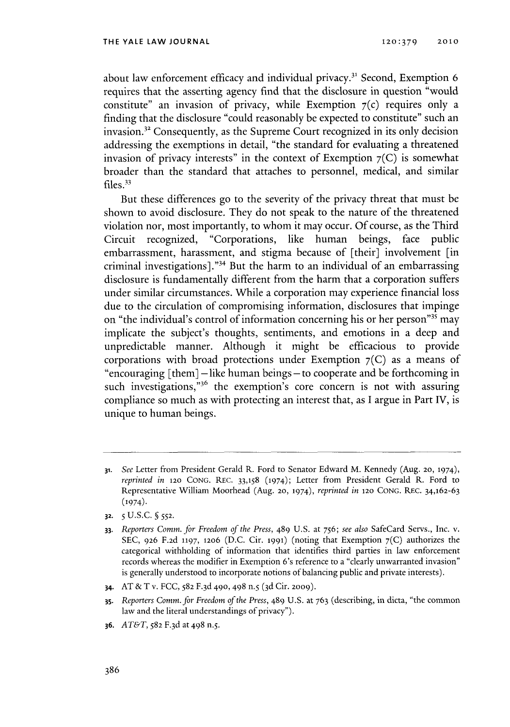about law enforcement efficacy and individual privacy.31 Second, Exemption **6** requires that the asserting agency find that the disclosure in question "would constitute" an invasion of privacy, while Exemption  $7(c)$  requires only a finding that the disclosure "could reasonably be expected to constitute" such an invasion.<sup>32</sup> Consequently, as the Supreme Court recognized in its only decision addressing the exemptions in detail, "the standard for evaluating a threatened invasion of privacy interests" in the context of Exemption  $7(C)$  is somewhat broader than the standard that attaches to personnel, medical, and similar files.<sup>33</sup>

But these differences go to the severity of the privacy threat that must **be** shown to avoid disclosure. They do not speak to the nature of the threatened violation nor, most importantly, to whom it may occur. **Of** course, as the Third Circuit recognized, "Corporations, like human beings, face public embarrassment, harassment, and stigma because of [their] involvement [in criminal investigations]."34 But the harm to an individual of an embarrassing disclosure is fundamentally different from the harm that a corporation suffers under similar circumstances. While a corporation may experience financial loss due to the circulation of compromising information, disclosures that impinge on "the individual's control of information concerning his or her person"<sup>35</sup> may implicate the subject's thoughts, sentiments, and emotions in a deep and unpredictable manner. Although it might be efficacious to provide corporations with broad protections under Exemption **7(C)** as a means of "encouraging [them] -like human beings **-** to cooperate and be forthcoming in such investigations,"<sup>36</sup> the exemption's core concern is not with assuring compliance so much as with protecting an interest that, as **I** argue in Part **IV,** is unique to human beings.

**32.** *5* **U.S.C. § 552.**

- **34. AT &** T v. **FCC, 582 F.3d 490,** 498 n.5 **(3d** Cit. **2009).**
- **35.** *Reporters Comm. for Freedom of the Press,* 489 **U.S.** at **763** (describing, in dicta, "the common law and the literal understandings of privacy").
- **36.** *AT&T,* **582 F.3d** at 498 n.5.

**<sup>31.</sup>** *See* Letter from President Gerald R. Ford to Senator Edward M. Kennedy (Aug. **20, 1974),** *reprinted in* **120 CONG. REC. 33,158 (1974);** Letter from President Gerald R. Ford to Representative William Moorhead (Aug. **20, 1974),** *reprinted in* **120 CONG. REC. 34,162-63 (1974).**

**<sup>33.</sup>** *Reporters Comm. for Freedom of the Press,* 489 **U.S.** at *756; see also* SafeCard Servs., Inc. v. **SEC, 926 F.2d 1197, 12o6 (D.C.** Cir. **1991)** (noting that Exemption **7(C)** authorizes the categorical withholding of information that identifies third parties in law enforcement records whereas the modifier in Exemption 6's reference to a "clearly unwarranted invasion" is generally understood to incorporate notions of balancing public and private interests).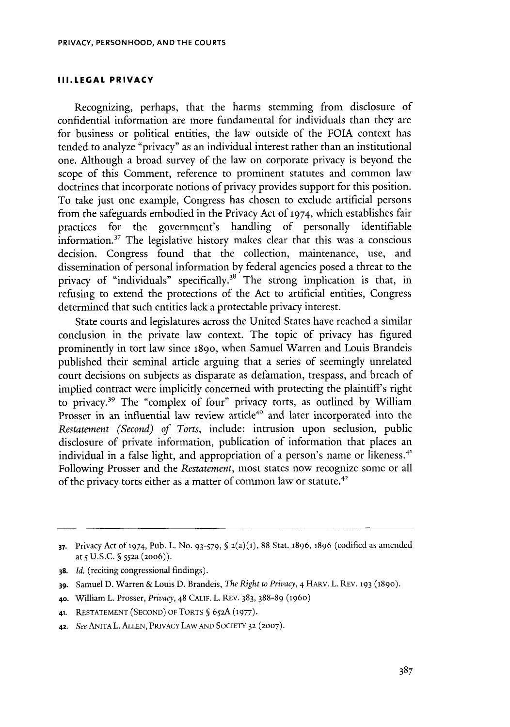#### **III.LEGAL PRIVACY**

Recognizing, perhaps, that the harms stemming from disclosure of confidential information are more fundamental for individuals than they are for business or political entities, the law outside of the **FOIA** context has tended to analyze "privacy" as an individual interest rather than an institutional one. Although a broad survey of the law on corporate privacy is beyond the scope of this Comment, reference to prominent statutes and common law doctrines that incorporate notions of privacy provides support for this position. To take just one example, Congress has chosen to exclude artificial persons from the safeguards embodied in the Privacy Act **of 1974,** which establishes fair practices for the government's handling of personally identifiable information.<sup>37</sup> The legislative history makes clear that this was a conscious decision. Congress found that the collection, maintenance, use, and dissemination of personal information **by** federal agencies posed a threat to the privacy of "individuals" specifically.<sup>38</sup> The strong implication is that, in refusing to extend the protections of the Act to artificial entities, Congress determined that such entities lack a protectable privacy interest.

State courts and legislatures across the United States have reached a similar conclusion in the private law context. The topic of privacy has figured prominently in tort law since **1890,** when Samuel Warren and Louis Brandeis published their seminal article arguing that a series of seemingly unrelated court decisions on subjects as disparate as defamation, trespass, and breach of implied contract were implicitly concerned with protecting the plaintiffs right to privacy." The "complex of four" privacy torts, as outlined **by** William Prosser in an influential law review article<sup>40</sup> and later incorporated into the *Restatement (Second) of Torts,* include: intrusion upon seclusion, public disclosure of private information, publication of information that places an individual in a false light, and appropriation of a person's name or likeness.<sup>41</sup> Following Prosser and the *Restatement,* most states now recognize some or all of the privacy torts either as a matter of common law or statute.<sup>42</sup>

**<sup>37.</sup>** Privacy Act **of** 1974, Pub. L. No. **93-579, § 2(a)(1), 88** Stat. **1896, 1896** (codified as amended at **5 U.S.C. §** 552a (2006)).

**<sup>38.</sup>** *Id.* (reciting congressional findings).

**<sup>39.</sup>** Samuel **D.** Warren **&** Louis **D.** Brandeis, *The Right to Privacy,* 4 HARV. L. REV. **193** (1890).

**<sup>40.</sup>** William L. Prosser, *Privacy,* 48 **CALIF.** L. REV. **383, 388-89 (1960)**

**<sup>41.</sup> RESTATEMENT (SECOND)** OF TORTS **§ 65 2A (1977).**

**<sup>42.</sup>** *See* **ANITA** L. **ALLEN,** PRIVACY LAW **AND SOCIETY 32 (2007).**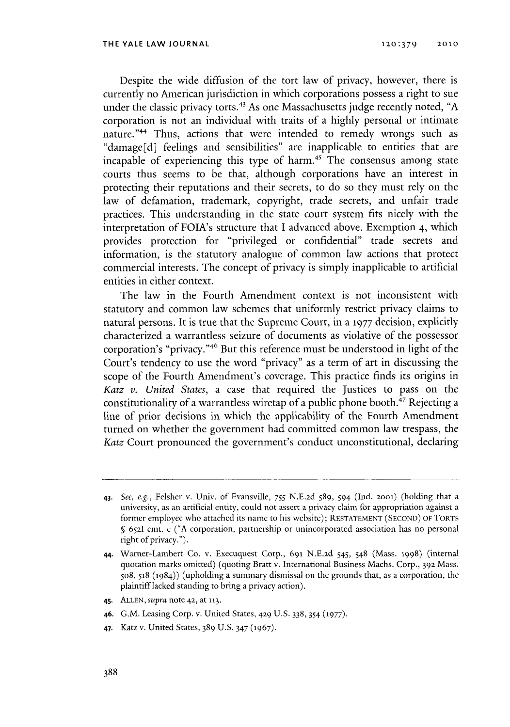Despite the wide diffusion of the tort law of privacy, however, there **is** currently no American jurisdiction in which corporations possess a right to sue under the classic privacy torts. 43 As one Massachusetts judge recently noted, **"A** corporation is not an individual with traits of a **highly** personal or intimate nature."<sup>44</sup> Thus, actions that were intended to remedy wrongs such as "damage[d] feelings and sensibilities" are inapplicable to entities that are incapable of experiencing this type of harm.<sup>45</sup> The consensus among state courts thus seems to be that, although corporations have an interest in protecting their reputations and their secrets, to do so they must rely on the law **of** defamation, trademark, copyright, trade secrets, and unfair trade practices. This understanding in the state court system fits nicely with the interpretation of FOIA's structure that **I** advanced above. Exemption 4, which provides protection for "privileged or confidential" trade secrets and information, is the statutory analogue of common law actions that protect commercial interests. The concept of privacy is simply inapplicable to artificial entities in either context.

The law in the Fourth Amendment context is not inconsistent with statutory and common law schemes that uniformly restrict privacy claims to natural persons. It is true that the Supreme Court, in a **1977** decision, explicitly characterized a warrantless seizure of documents as violative of the possessor corporation's "privacy."<sup>46</sup> But this reference must be understood in light of the Court's tendency to use the word "privacy" as a term of art in discussing the scope of the Fourth Amendment's coverage. This practice finds its origins in *Katz v. United States,* a case that required the Justices to pass on the constitutionality of a warrantless wiretap of a public phone booth.<sup>47</sup> Rejecting a line of prior decisions in which the applicability of the Fourth Amendment turned on whether the government had committed common law trespass, the *Katz* Court pronounced the government's conduct unconstitutional, declaring

- **45. ALLEN,** *supra* note **42,** at **113.**
- **46. G.M.** Leasing Corp. v. United States, **429 U.S. 338,** 354 **(1977).**
- **47.** Katz v. United States, **389 U.S.** 347 (1967).

**<sup>43.</sup>** *See, e.g.,* Felsher v. Univ. of Evansville, *755* **N.E.2d** *589,* 594 (Ind. **2001)** (holding that a unversity, as an artificial entity, could not assert a privacy claim for appropriation against a former employee who attached its name to his website); **RESTATEMENT (SECOND) OF TORTS § 6521** cmt. c **("A** corporation, partnership or unincorporated association has no personal right of privacy.").

<sup>44.</sup> Warner-Lambert Co. v. Execuquest Corp., 691 **N.E.2d** 545, 548 (Mass. 1998) (internal quotation marks omitted) (quoting Bratt v. International Business Machs. Corp., **392** Mass. so8, **518** (1984)) (upholding a summary dismissal on the grounds that, as a corporation, the plaintiff lacked standing to bring a privacy action).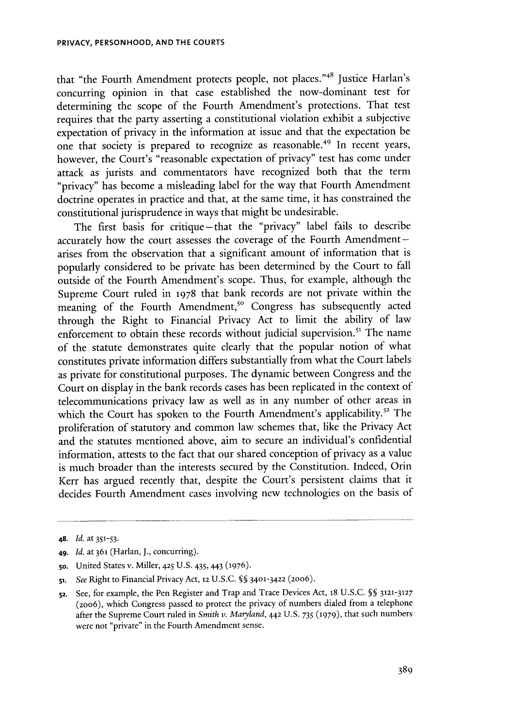that "the Fourth Amendment protects people, not places."48 justice Harlan's concurring opinion in that case established the now-dominant test for determining the scope of the Fourth Amendment's protections. That test requires that the party asserting a constitutional violation exhibit a subjective expectation of privacy in the information at issue and that the expectation be one that society is prepared to recognize as reasonable. 49 In recent years, however, the Court's "reasonable expectation of privacy" test has come under attack as jurists and commentators have recognized both that the term "privacy" has become a misleading label for the way that Fourth Amendment doctrine operates in practice and that, at the same time, it has constrained the constitutional jurisprudence in ways that might **be** undesirable.

The first basis for critique-that the "privacy" label fails to describe accurately how the court assesses the coverage of the Fourth Amendmentarises from the observation that a significant amount of information that is popularly considered to be private has been determined **by** the Court to fall outside of the Fourth Amendment's scope. Thus, for example, although the Supreme Court ruled in **1978** that bank records are not private within the meaning of the Fourth Amendment,<sup>50</sup> Congress has subsequently acted through the Right to Financial Privacy Act to limit the ability of law enforcement to obtain these records without judicial supervision.<sup>51</sup> The name of the statute demonstrates quite clearly that the popular notion of what constitutes private information differs substantially from what the Court labels as private for constitutional purposes. The dynamic between Congress and the Court on display in the bank records cases has been replicated in the context of telecommunications privacy law as well as in any number of other areas in which the Court has spoken to the Fourth Amendment's applicability.<sup>52</sup> The proliferation of statutory and common law schemes that, like the Privacy Act and the statutes mentioned above, aim to secure an individual's confidential information, attests to the fact that our shared conception of privacy as a value is much broader than the interests secured **by** the Constitution. Indeed, Orin Kerr has argued recently that, despite the Court's persistent claims that it decides Fourth Amendment cases involving new technologies on the basis of

**<sup>48.</sup>** *Id.* at **351-53.**

**<sup>49.</sup>** *Id. at* **361** (Harlan, **J.,** concurring).

**<sup>50.</sup>** United States v. Miller, **425 U.S.** *435,* 443 **(1976).**

si. *See* Right to Financial Privacy Act, **12 U.S.C.** 55 **3401-3422 (20o6).**

**<sup>52.</sup>** See, for example, the Pen Register and Trap and Trace Devices Act, **18 U.S.C. §§ 3121-3127 (2006),** which Congress passed to protect the privacy of numbers dialed from a telephone after the Supreme Court ruled in *Smith v. Maryland,* **442 U.S. 735 (1979),** that such numbers were not "private" in the Fourth Amendment sense.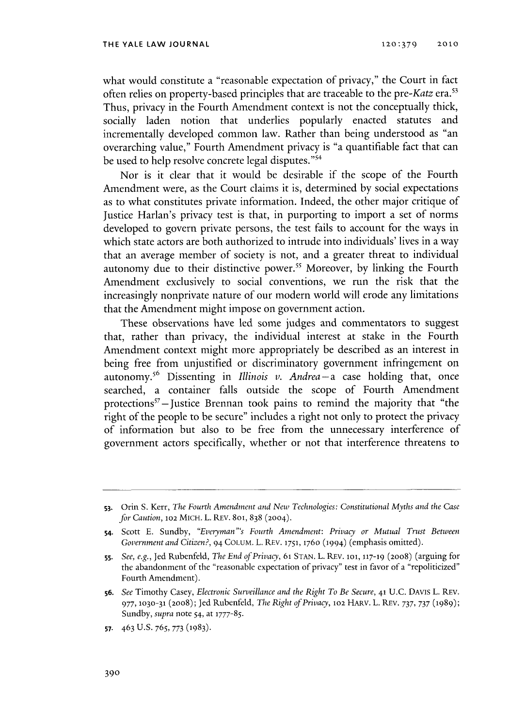what would constitute a "reasonable expectation of privacy," the Court in fact often relies on property-based principles that are traceable to the pre-Katz era.<sup>53</sup> Thus, privacy in the Fourth Amendment context is not the conceptually thick, socially laden notion that underlies popularly enacted statutes and incrementally developed common law. Rather than being understood as "an overarching value," Fourth Amendment privacy is "a quantifiable fact that can be used to help resolve concrete legal disputes."<sup>54</sup>

Nor is it clear that it would be desirable if the scope of the Fourth Amendment were, as the Court claims it is, determined **by** social expectations as to what constitutes private information. Indeed, the other major critique of Justice Harlan's privacy test is that, in purporting to import a set of norms developed to govern private persons, the test fails to account for the ways in which state actors are both authorized to intrude into individuals' lives in a way that an average member of society is not, and a greater threat to individual autonomy due to their distinctive power.<sup>55</sup> Moreover, by linking the Fourth Amendment exclusively to social conventions, we run the risk that the increasingly nonprivate nature of our modern world will erode any limitations that the Amendment might impose on government action.

These observations have led some judges and commentators to suggest that, rather than privacy, the individual interest at stake in the Fourth Amendment context might more appropriately be described as an interest in being free from unjustified or discriminatory government infringement on autonomy.56 Dissenting in *Illinois v. Andrea-a* case holding that, once searched, a container falls outside the scope of Fourth Amendment protections<sup>57</sup> - Justice Brennan took pains to remind the majority that "the right of the people to be secure" includes a right not only to protect the privacy of information but also to be free from the unnecessary interference of government actors specifically, whether or not that interference threatens to

**<sup>53.</sup>** Orin **S.** Kerr, *The Fourth Amendment and New Technologies: Constitutional Myths and the Case for Caution, 102 MICH. L. REV. 801, 838 (2004).* 

**<sup>54.</sup>** Scott **E.** Sundby, *"Everyman "'s Fourth Amendment: Privacy or Mutual Trust Between Government and Citizen?,* 94 **COLUM.** L. REV. **1751, 1760 (1994)** (emphasis omitted).

**<sup>5</sup>s.** *See, e.g.,* Jed Rubenfeld, *The End of Privacy,* **61 STAN.** L. REV. **101, 117-19 (2008)** (arguing for the abandonment of the "reasonable expectation of privacy" test in favor of a "repoliticized" Fourth Amendment).

**<sup>56.</sup>** *See* Timothy Casey, *Electronic Surveillance and the Right To Be Secure,* **41 U.C.** DAvIS L. REv. **977, 1030-31 (2008);** Jed Rubenfeld, *The Right of Privacy,* **102** HARV. L. REV. **737, 737 (1989);** Sundby, *supra* note *54,* at **1777-85.**

**<sup>57.</sup>** 463 **U.S.** *765,* **773 (1983).**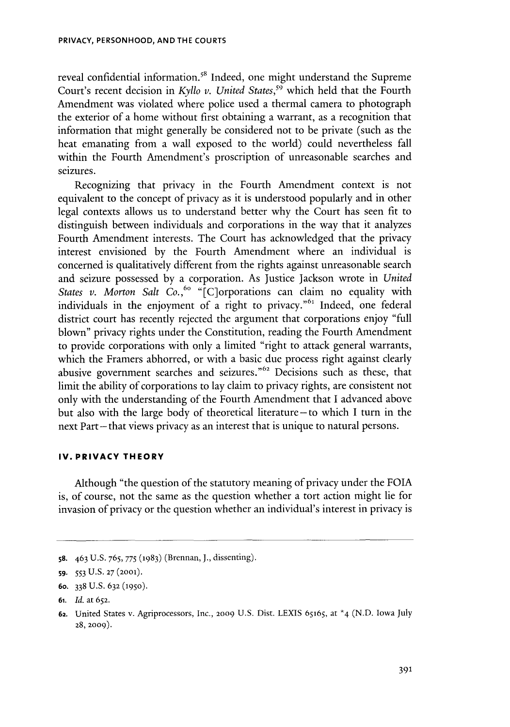reveal confidential information.<sup>58</sup> Indeed, one might understand the Supreme Court's recent decision in *Kyllo v. United States,"* which held that the Fourth Amendment was violated where police used a thermal camera to photograph the exterior of a home without first obtaining a warrant, as a recognition that information that might generally be considered not to be private (such as the heat emanating from a wall exposed to the world) could nevertheless fall within the Fourth Amendment's proscription of unreasonable searches and seizures.

Recognizing that privacy in the Fourth Amendment context is not equivalent to the concept of privacy as it is understood popularly and in other legal contexts allows us to understand better why the Court has seen fit to distinguish between individuals and corporations in the way that it analyzes Fourth Amendment interests. The Court has acknowledged that the privacy interest envisioned **by** the Fourth Amendment where an individual is concerned is qualitatively different from the rights against unreasonable search and seizure possessed **by** a corporation. As Justice Jackson wrote in *United States v. Morton Salt Co.,<sup>60</sup>* "[C]orporations can claim no equality with individuals in the enjoyment of a right to privacy."<sup>61</sup> Indeed, one federal district court has recently rejected the argument that corporations enjoy "full blown" privacy rights under the Constitution, reading the Fourth Amendment to provide corporations with only a limited "right to attack general warrants, which the Framers abhorred, or with a basic due process right against clearly abusive government searches and seizures."<sup>62</sup> Decisions such as these, that limit the ability of corporations to lay claim to privacy rights, are consistent not only with the understanding of the Fourth Amendment that **I** advanced above but also with the large body of theoretical literature-to which **I** turn in the next Part-that views privacy as an interest that is unique to natural persons.

### **IV. PRIVACY THEORY**

Although "the question of the statutory meaning of privacy under the FOIA **is,** of course, not the same as the question whether a tort action might lie for invasion of privacy or the question whether an individual's interest in privacy **is**

**<sup>58.</sup>** 463 **U.S. 765, 775 (1983)** (Brennan, **J.,** dissenting).

*<sup>59.</sup>* **553 U.S. 27 (2001).**

**<sup>6</sup>o. 338 U.S. 632 (1950).**

**<sup>61.</sup>** *Id.* at **652.**

**<sup>62.</sup>** United States v. Agriprocessors, Inc., **2009 U.S.** Dist. **LEXIS 65165,** at \*4 **(N.D.** Iowa July **28, 2009).**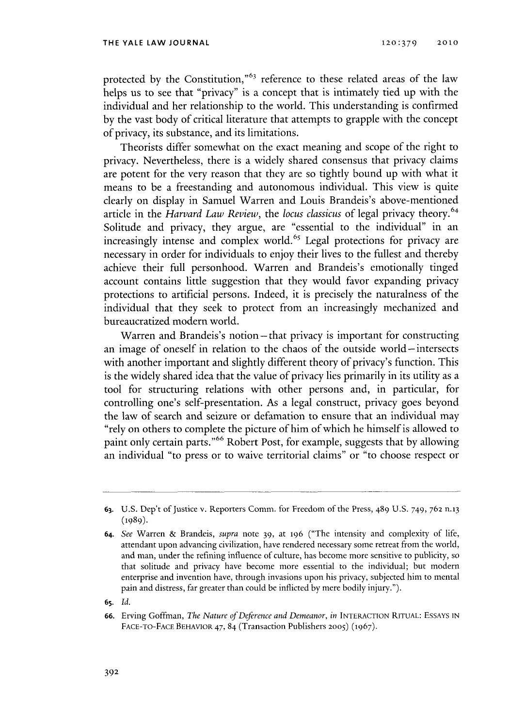protected **by** the Constitution,"63 reference to these related areas of the law helps us to see that "privacy" is a concept that is intimately tied up with the individual and her relationship to the world. This understanding is confirmed **by** the vast body of critical literature that attempts to grapple with the concept of privacy, its substance, and its limitations.

Theorists differ somewhat on the exact meaning and scope of the right to privacy. Nevertheless, there is a widely shared consensus that privacy claims are potent for the very reason that they are so tightly bound up with what it means to be a freestanding and autonomous individual. This view is quite clearly on display in Samuel Warren and Louis Brandeis's above-mentioned article in the *Harvard Law Review, the locus classicus* of legal privacy theory.64 Solitude and privacy, they argue, are "essential to the individual" in an increasingly intense and complex world.<sup>65</sup> Legal protections for privacy are necessary in order for individuals to enjoy their lives to the fullest and thereby achieve their full personhood. Warren and Brandeis's emotionally tinged account contains little suggestion that they would favor expanding privacy protections to artificial persons. Indeed, it is precisely the naturalness of the individual that they seek to protect from an increasingly mechanized and bureaucratized modern world.

Warren and Brandeis's notion-that privacy is important for constructing an image of oneself in relation to the chaos of the outside world- intersects with another important and slightly different theory of privacy's function. This is the widely shared idea that the value of privacy lies primarily in its utility as a tool for structuring relations with other persons and, in particular, for controlling one's self-presentation. As a legal construct, privacy goes beyond the law of search and seizure or defamation to ensure that an individual may "rely on others to complete the picture of him of which he himself is allowed to paint only certain parts."6 6 Robert Post, for example, suggests that **by** allowing an individual "to press or to waive territorial claims" or "to choose respect or

**<sup>63.</sup> U.S.** Dep't of Justice v. Reporters Comm. for Freedom of the Press, 489 **U.S.** 749, **762 n.13 (1989).**

**<sup>64.</sup>** *See* Warren **&** Brandeis, *supra* note **39,** at **196** ("The intensity and complexity **of** life, attendant upon advancing civilization, have rendered necessary some retreat from the world, and man, under the refining influence of culture, has become more sensitive to publicity, so that solitude and privacy have become more essential to the individual; but modern enterprise and invention have, through invasions upon his privacy, subjected him to mental pain and distress, far greater than could be inflicted **by** mere bodily injury.").

**<sup>65.</sup>** *Id.*

**<sup>66.</sup>** Erving Goffman, *The Nature of Deference and Demeanor, in* **INTERACTION RITUAL: ESSAYS IN FACE-TO-FACE BEHAVIOR** 47, 84 (Transaction Publishers **2005) (1967).**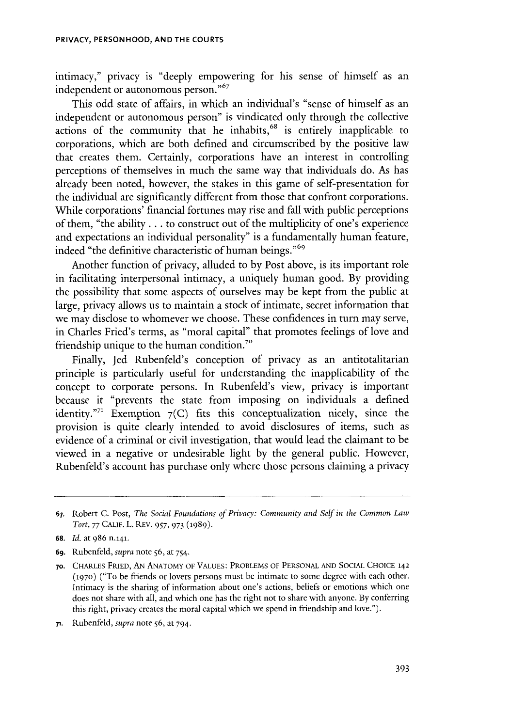intimacy," privacy is "deeply empowering for his sense of himself as an independent or autonomous person."

This odd state of affairs, in which an individual's "sense of himself as an independent or autonomous person" is vindicated only through the collective actions of the community that he inhabits,<sup>68</sup> is entirely inapplicable to corporations, which are both defined and circumscribed **by** the positive law that creates them. Certainly, corporations have an interest in controlling perceptions of themselves in much the same way that individuals do. As has already been noted, however, the stakes in this game of self-presentation for the individual are significantly different from those that confront corporations. While corporations' financial fortunes may rise and fall with public perceptions of them, "the ability **...** to construct out of the multiplicity of one's experience and expectations an individual personality" is a fundamentally human feature, indeed "the definitive characteristic of human beings."<sup>69</sup>

Another function of privacy, alluded to **by** Post above, is its important role in facilitating interpersonal intimacy, a uniquely human good. **By** providing the possibility that some aspects of ourselves may be kept from the public at large, privacy allows us to maintain a stock of intimate, secret information that we may disclose to whomever we choose. These confidences in turn may serve, in Charles Fried's terms, as "moral capital" that promotes feelings of love and friendship unique to the human condition.<sup>70</sup>

Finally, Jed Rubenfeld's conception of privacy as an antitotalitarian principle is particularly useful for understanding the inapplicability of the concept to corporate persons. In Rubenfeld's view, privacy is important because it "prevents the state from imposing on individuals a defined identity."<sup>1</sup> Exemption  $7(C)$  fits this conceptualization nicely, since the provision is quite clearly intended to avoid disclosures of items, such as evidence of a criminal or civil investigation, that would lead the claimant to be viewed in a negative or undesirable light **by** the general public. However, Rubenfeld's account has purchase only where those persons claiming a privacy

**<sup>67.</sup>** Robert **C.** Post, *The Social Foundations of Privacy: Community and Self in the Common Law Tort, 77* **CALIF.** L. REV. *957,* **973 (1989).**

**<sup>68.</sup>** *Id. at* **986 n.141.**

**<sup>69.</sup>** Rubenfeld, *supra* note **56,** at 754.

**<sup>70.</sup> CHARLES FRIED, AN ANATOMY OF VALUES: PROBLEMS** OF **PERSONAL AND SOCIAL CHOICE 142 (1970) ("To be friends or lovers persons must be intimate to some degree with each other.** Intimacy is the sharing of information about one's actions, beliefs or emotions which one does not share with all, and which one has the right not to share with anyone. **By** conferring this right, privacy creates the moral capital which we spend in friendship and love.").

**i.** *Rubenfeld, supra* note **56,** at **794.**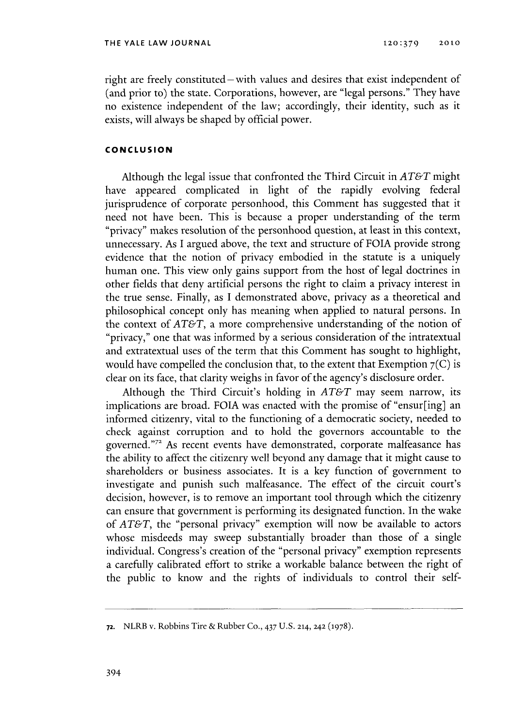right are freely constituted – with values and desires that exist independent of (and prior to) the state. Corporations, however, are "legal persons." They have no existence independent of the law; accordingly, their identity, such as it exists, will always be shaped **by** official power.

## **CONCLUSION**

Although the legal issue that confronted the Third Circuit in *AT&T* might have appeared complicated in light of the rapidly evolving federal jurisprudence of corporate personhood, this Comment has suggested that it need not have been. This is because a proper understanding of the term "privacy" makes resolution of the personhood question, at least in this context, unnecessary. As I argued above, the text and structure of **FOIA** provide strong evidence that the notion of privacy embodied in the statute is a uniquely human one. This view only gains support from the host of legal doctrines in other fields that deny artificial persons the right to claim a privacy interest in the true sense. Finally, as **I** demonstrated above, privacy as a theoretical and philosophical concept only has meaning when applied to natural persons. In the context of *AT&T,* a more comprehensive understanding of the notion of "privacy," one that was informed **by** a serious consideration of the intratextual and extratextual uses of the term that this Comment has sought to highlight, would have compelled the conclusion that, to the extent that Exemption **7(C) is** clear on its face, that clarity weighs in favor of the agency's disclosure order.

Although the Third Circuit's holding in *AT&T* may seem narrow, its implications are broad. **FOIA** was enacted with the promise of "ensur[ing] an informed citizenry, vital to the functioning of a democratic society, needed to check against corruption and to hold the governors accountable to the governed."<sup>72</sup> As recent events have demonstrated, corporate malfeasance has the ability to affect the citizenry well beyond any damage that it might cause to shareholders or business associates. It is a key function of government to investigate and punish such malfeasance. The effect of the circuit court's decision, however, is to remove an important tool through which the citizenry can ensure that government is performing its designated function. In the wake *of AT&T,* the "personal privacy" exemption will now be available to actors whose misdeeds may sweep substantially broader than those of a single individual. Congress's creation of the "personal privacy" exemption represents a carefully calibrated effort to strike a workable balance between the right of the public to know and the rights of individuals to control their self-

**<sup>72.</sup>** NLRB v. Robbins Tire **&** Rubber **Co.,** 437 **U.S. 214, 242 (1978).**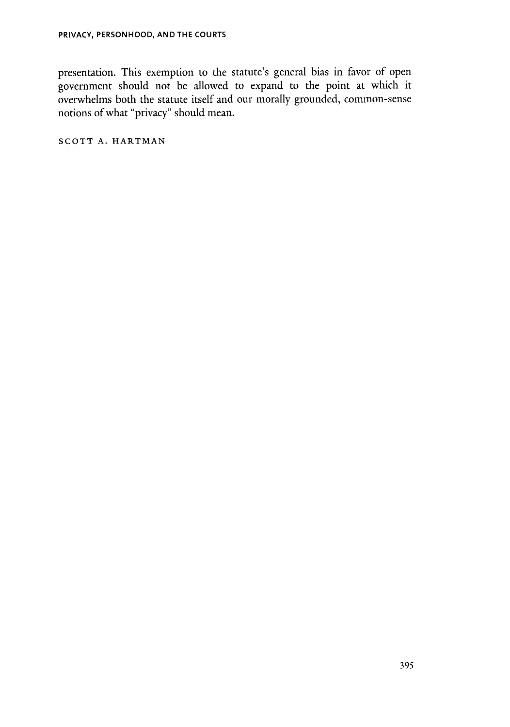presentation. This exemption to the statute's general bias in favor of open government should not be allowed to expand to the point at which it overwhelms both the statute itself and our morally grounded, common-sense notions of what "privacy" should mean.

SCOTT A. **HARTMAN**